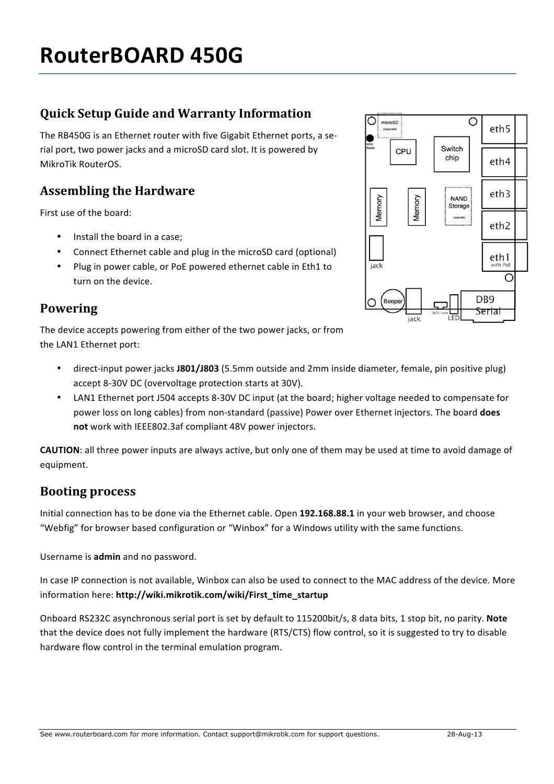# **Quick Setup Guide and Warranty Information**

The RB450G is an Ethernet router with five Gigabit Ethernet ports, a serial port, two power jacks and a microSD card slot. It is powered by MikroTik RouterOS.

## **Assembling the Hardware**

First use of the board:

- Install the board in a case;
- Connect Ethernet cable and plug in the microSD card (optional)
- Plug in power cable, or PoE powered ethernet cable in Eth1 to turn on the device.

#### **Powering**

The device accepts powering from either of the two power jacks, or from the LAN1 Ethernet port:

- direct-input power jacks J801/J803 (5.5mm outside and 2mm inside diameter, female, pin positive plug) accept 8-30V DC (overvoltage protection starts at 30V).
- LAN1 Ethernet port J504 accepts 8-30V DC input (at the board; higher voltage needed to compensate for power loss on long cables) from non-standard (passive) Power over Ethernet injectors. The board does not work with IEEE802.3af compliant 48V power injectors.

**CAUTION**: all three power inputs are always active, but only one of them may be used at time to avoid damage of equipment.

#### **Booting process**

Initial connection has to be done via the Ethernet cable. Open 192.168.88.1 in your web browser, and choose "Webfig" for browser based configuration or "Winbox" for a Windows utility with the same functions.

Username is **admin** and no password.

In case IP connection is not available, Winbox can also be used to connect to the MAC address of the device. More information here: **http://wiki.mikrotik.com/wiki/First\_time\_startup**

Onboard RS232C asynchronous serial port is set by default to 115200bit/s, 8 data bits, 1 stop bit, no parity. Note that the device does not fully implement the hardware (RTS/CTS) flow control, so it is suggested to try to disable hardware flow control in the terminal emulation program.

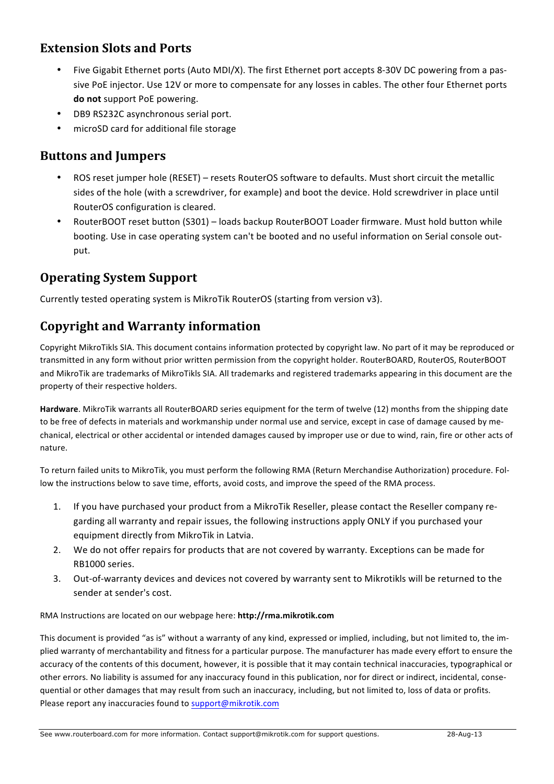## **Extension Slots and Ports**

- Five Gigabit Ethernet ports (Auto MDI/X). The first Ethernet port accepts 8-30V DC powering from a passive PoE injector. Use 12V or more to compensate for any losses in cables. The other four Ethernet ports **do not** support PoE powering.
- DB9 RS232C asynchronous serial port.
- microSD card for additional file storage

#### **Buttons and Jumpers**

- ROS reset jumper hole (RESET) resets RouterOS software to defaults. Must short circuit the metallic sides of the hole (with a screwdriver, for example) and boot the device. Hold screwdriver in place until RouterOS configuration is cleared.
- RouterBOOT reset button (S301) loads backup RouterBOOT Loader firmware. Must hold button while booting. Use in case operating system can't be booted and no useful information on Serial console output.

### **Operating System Support**

Currently tested operating system is MikroTik RouterOS (starting from version v3).

# **Copyright and Warranty information**

Copyright MikroTikls SIA. This document contains information protected by copyright law. No part of it may be reproduced or transmitted in any form without prior written permission from the copyright holder. RouterBOARD, RouterOS, RouterBOOT and MikroTik are trademarks of MikroTikls SIA. All trademarks and registered trademarks appearing in this document are the property of their respective holders.

Hardware. MikroTik warrants all RouterBOARD series equipment for the term of twelve (12) months from the shipping date to be free of defects in materials and workmanship under normal use and service, except in case of damage caused by mechanical, electrical or other accidental or intended damages caused by improper use or due to wind, rain, fire or other acts of nature.

To return failed units to MikroTik, you must perform the following RMA (Return Merchandise Authorization) procedure. Follow the instructions below to save time, efforts, avoid costs, and improve the speed of the RMA process.

- 1. If you have purchased your product from a MikroTik Reseller, please contact the Reseller company regarding all warranty and repair issues, the following instructions apply ONLY if you purchased your equipment directly from MikroTik in Latvia.
- 2. We do not offer repairs for products that are not covered by warranty. Exceptions can be made for RB1000 series.
- 3. Out-of-warranty devices and devices not covered by warranty sent to Mikrotikls will be returned to the sender at sender's cost.

RMA Instructions are located on our webpage here: **http://rma.mikrotik.com** 

This document is provided "as is" without a warranty of any kind, expressed or implied, including, but not limited to, the implied warranty of merchantability and fitness for a particular purpose. The manufacturer has made every effort to ensure the accuracy of the contents of this document, however, it is possible that it may contain technical inaccuracies, typographical or other errors. No liability is assumed for any inaccuracy found in this publication, nor for direct or indirect, incidental, consequential or other damages that may result from such an inaccuracy, including, but not limited to, loss of data or profits. Please report any inaccuracies found to support@mikrotik.com